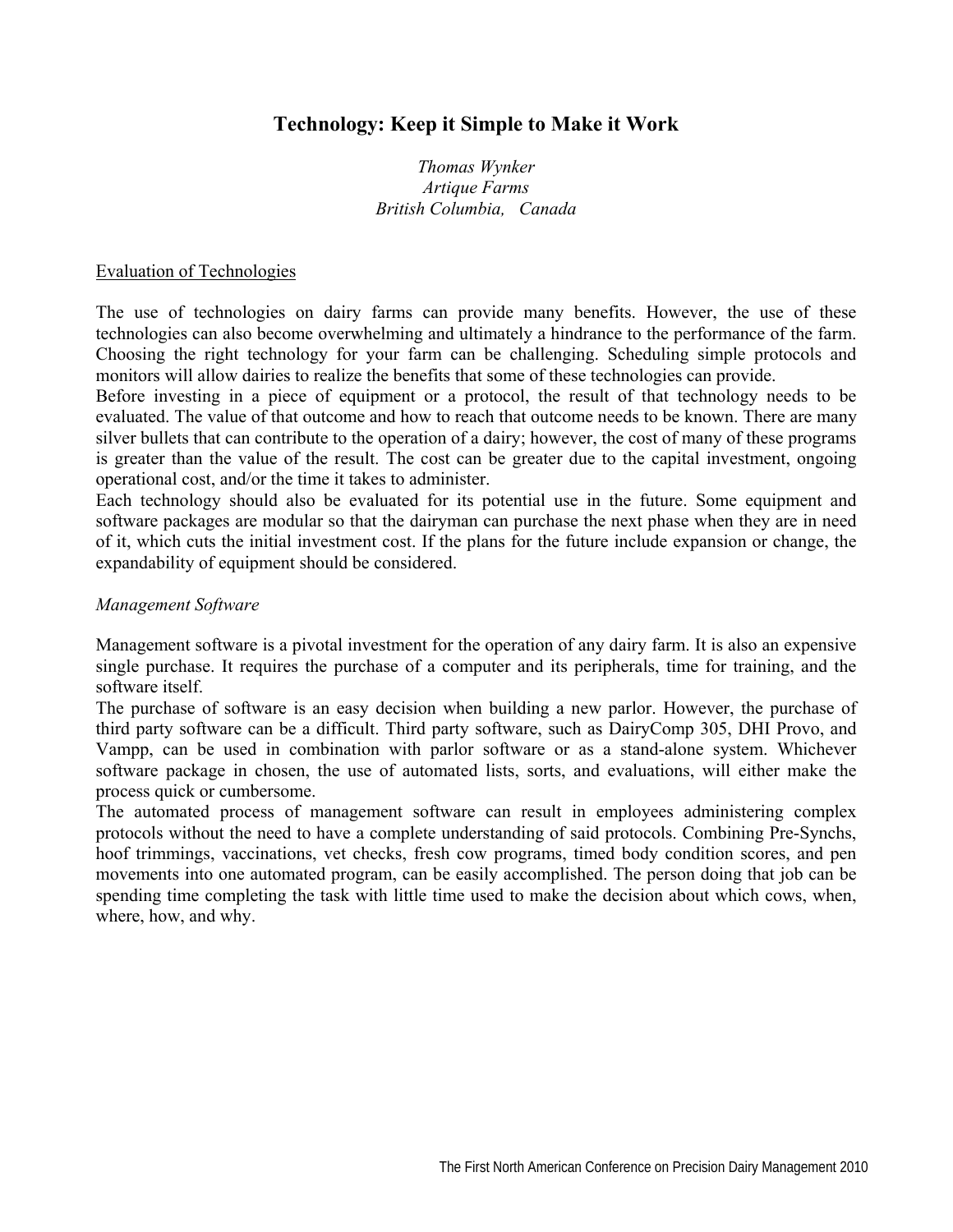# **Technology: Keep it Simple to Make it Work**

*Thomas Wynker Artique Farms British Columbia, Canada* 

#### Evaluation of Technologies

The use of technologies on dairy farms can provide many benefits. However, the use of these technologies can also become overwhelming and ultimately a hindrance to the performance of the farm. Choosing the right technology for your farm can be challenging. Scheduling simple protocols and monitors will allow dairies to realize the benefits that some of these technologies can provide.

Before investing in a piece of equipment or a protocol, the result of that technology needs to be evaluated. The value of that outcome and how to reach that outcome needs to be known. There are many silver bullets that can contribute to the operation of a dairy; however, the cost of many of these programs is greater than the value of the result. The cost can be greater due to the capital investment, ongoing operational cost, and/or the time it takes to administer.

Each technology should also be evaluated for its potential use in the future. Some equipment and software packages are modular so that the dairyman can purchase the next phase when they are in need of it, which cuts the initial investment cost. If the plans for the future include expansion or change, the expandability of equipment should be considered.

### *Management Software*

Management software is a pivotal investment for the operation of any dairy farm. It is also an expensive single purchase. It requires the purchase of a computer and its peripherals, time for training, and the software itself.

The purchase of software is an easy decision when building a new parlor. However, the purchase of third party software can be a difficult. Third party software, such as DairyComp 305, DHI Provo, and Vampp, can be used in combination with parlor software or as a stand-alone system. Whichever software package in chosen, the use of automated lists, sorts, and evaluations, will either make the process quick or cumbersome.

The automated process of management software can result in employees administering complex protocols without the need to have a complete understanding of said protocols. Combining Pre-Synchs, hoof trimmings, vaccinations, vet checks, fresh cow programs, timed body condition scores, and pen movements into one automated program, can be easily accomplished. The person doing that job can be spending time completing the task with little time used to make the decision about which cows, when, where, how, and why.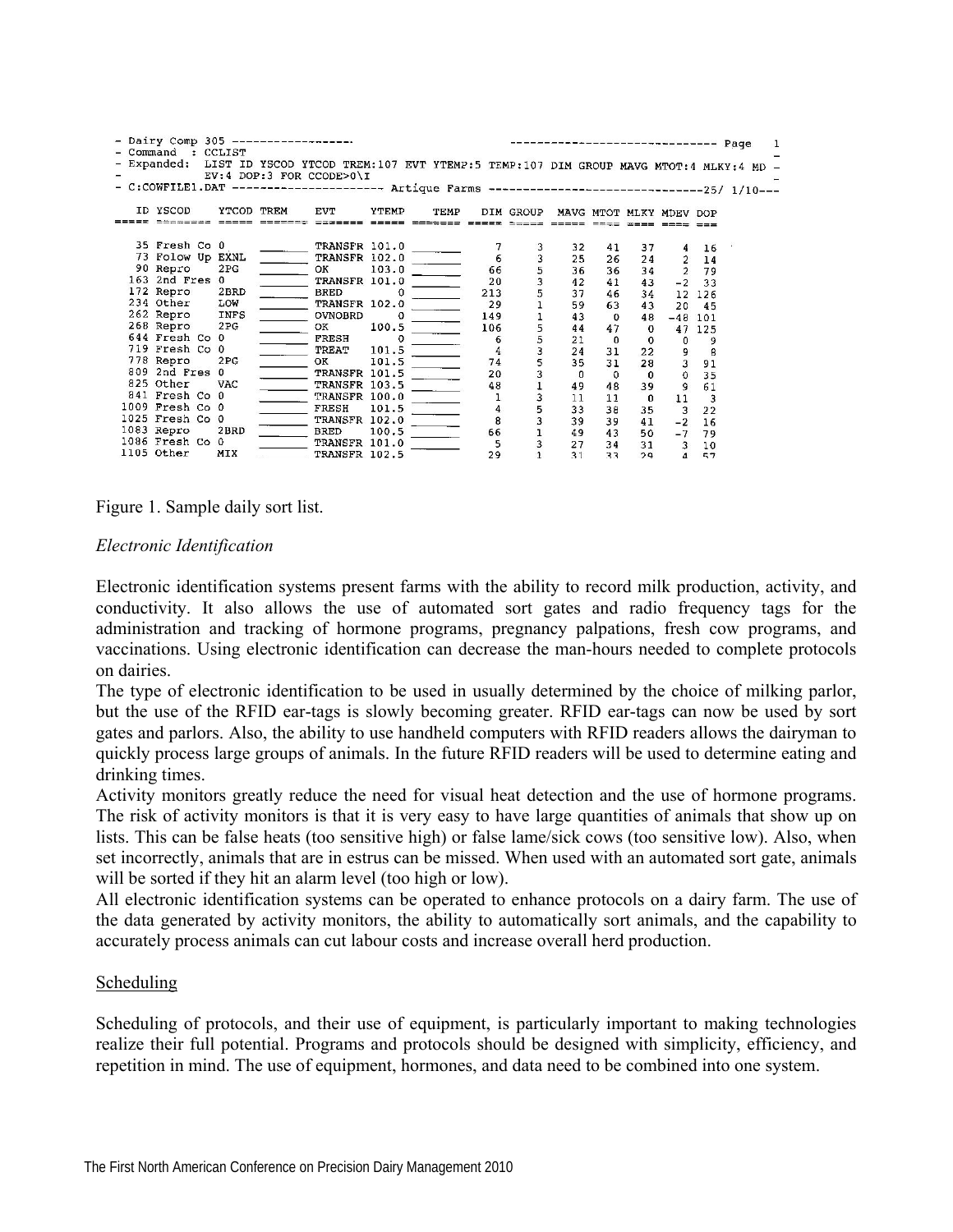| - Dairy Comp 305 ----------<br>- Command : CCLIST<br>- Expanded: LIST ID YSCOD YTCOD TREM:107 EVT YTEMP:5 TEMP:107 DIM GROUP MAVG MTOT:4 MLKY:4 MD<br>- C:COWFILE1.DAT --------------------- Artique Farms -----------------------------------25/ 1/10- |                 | EV:4 DOP:3 FOR CCODE>0\I       |          |      |               |                                            |              |             | ------------------- Page |                         |          |  |
|---------------------------------------------------------------------------------------------------------------------------------------------------------------------------------------------------------------------------------------------------------|-----------------|--------------------------------|----------|------|---------------|--------------------------------------------|--------------|-------------|--------------------------|-------------------------|----------|--|
| ID YSCOD                                                                                                                                                                                                                                                | YTCOD TREM      | <b>EVT</b>                     | YTEMP    | TEMP |               | DIM GROUP                                  |              |             | MAVG MTOT MLKY MDEV DOP  |                         |          |  |
|                                                                                                                                                                                                                                                         |                 |                                |          |      |               |                                            |              |             |                          |                         |          |  |
| 35 Fresh Co 0<br>73 Folow Up EXNL                                                                                                                                                                                                                       |                 | TRANSFR 101.0<br>TRANSFR 102.0 |          |      |               |                                            | 32<br>25     | 41<br>26    | 37<br>24                 |                         | 16<br>14 |  |
| 90 Repro                                                                                                                                                                                                                                                | 2PG             | OK                             | 103.0    |      | 66            |                                            | 36           | 36          | 34                       | $\overline{2}$          | 79       |  |
| 163 2nd Fres 0                                                                                                                                                                                                                                          |                 | TRANSFR 101.0                  |          |      | 20            | $\begin{array}{c} 3 \\ 5 \\ 1 \end{array}$ | 42           | 41          | 43                       |                         | $-2$ 33  |  |
| 172 Repro                                                                                                                                                                                                                                               | 2BRD            | <b>BRED</b>                    |          |      | 213           |                                            | 37           | 46          | 34                       | 12 <sup>2</sup>         | 126      |  |
| 234 Other                                                                                                                                                                                                                                               | LOW             | TRANSFR 102.0                  |          |      | 29            |                                            | 59           | 63          | 43                       | 20                      | 45       |  |
| 262 Repro INFS                                                                                                                                                                                                                                          |                 | <b>OVNOBRD</b>                 | - 0      |      | 149           |                                            | 43           | $\Omega$    | 48                       | $-48$ 101               |          |  |
| 268 Repro                                                                                                                                                                                                                                               | 2PG             | OK                             | 100.5    |      | 106           |                                            | 44           | 47          | $\mathbf 0$              |                         | 47 125   |  |
| 644 Fresh Co 0                                                                                                                                                                                                                                          |                 | FRESH                          | $\Omega$ |      | 6             |                                            | 21           | $\Omega$    | $\mathbf 0$              | $\mathbf{0}$            | 9        |  |
| 719 Fresh Co 0                                                                                                                                                                                                                                          |                 | TREAT                          | 101.5    |      |               |                                            | 24           | 31          | 22                       | 9                       | 8        |  |
| 778 Repro                                                                                                                                                                                                                                               | 2 <sub>PG</sub> | OK.                            | 101.5    |      | 74            |                                            | 35           | 31          | 28                       | $\overline{\mathbf{3}}$ | 91       |  |
| 809 2nd Fres 0                                                                                                                                                                                                                                          |                 | TRANSFR 101.5                  |          |      | 20            |                                            | $\mathbf{0}$ | $\mathbf 0$ | $\Omega$                 | $\mathbf 0$             | 35       |  |
| 825 Other                                                                                                                                                                                                                                               | <b>VAC</b>      | TRANSFR 103.5                  |          |      | 48            |                                            | 49           | 48          | 39                       | 9                       | 61       |  |
| 841 Fresh Co 0                                                                                                                                                                                                                                          |                 | TRANSFR 100.0                  |          |      |               |                                            | 11           | 11          | $\mathbf{0}$             | 11                      | 3        |  |
| 1009 Fresh Co 0                                                                                                                                                                                                                                         |                 | FRESH                          | 101.5    |      | $\frac{4}{3}$ |                                            | 33           | 38          | 35                       | 3                       | 22       |  |
| 1025 Fresh Co 0                                                                                                                                                                                                                                         |                 | TRANSFR 102.0                  |          |      |               |                                            | 39           | 39          | 41                       | $-2$                    | 16       |  |
| 1083 Repro                                                                                                                                                                                                                                              | 2BRD            | <b>BRED</b>                    | 100.5    |      | 66            |                                            | 49           | 43          | 50                       | $-7$                    | 79       |  |
| 1086 Fresh Co 0                                                                                                                                                                                                                                         |                 | TRANSFR 101.0                  |          |      | 5             |                                            | 27           | 34          | 31                       | 3                       | 10       |  |
| 1105 Other                                                                                                                                                                                                                                              | MIX             | TRANSFR 102.5                  |          |      | 29            |                                            | 31           | २२          | 29                       | $\Delta$                | 57       |  |

Figure 1. Sample daily sort list.

#### *Electronic Identification*

Electronic identification systems present farms with the ability to record milk production, activity, and conductivity. It also allows the use of automated sort gates and radio frequency tags for the administration and tracking of hormone programs, pregnancy palpations, fresh cow programs, and vaccinations. Using electronic identification can decrease the man-hours needed to complete protocols on dairies.

The type of electronic identification to be used in usually determined by the choice of milking parlor, but the use of the RFID ear-tags is slowly becoming greater. RFID ear-tags can now be used by sort gates and parlors. Also, the ability to use handheld computers with RFID readers allows the dairyman to quickly process large groups of animals. In the future RFID readers will be used to determine eating and drinking times.

Activity monitors greatly reduce the need for visual heat detection and the use of hormone programs. The risk of activity monitors is that it is very easy to have large quantities of animals that show up on lists. This can be false heats (too sensitive high) or false lame/sick cows (too sensitive low). Also, when set incorrectly, animals that are in estrus can be missed. When used with an automated sort gate, animals will be sorted if they hit an alarm level (too high or low).

All electronic identification systems can be operated to enhance protocols on a dairy farm. The use of the data generated by activity monitors, the ability to automatically sort animals, and the capability to accurately process animals can cut labour costs and increase overall herd production.

#### Scheduling

Scheduling of protocols, and their use of equipment, is particularly important to making technologies realize their full potential. Programs and protocols should be designed with simplicity, efficiency, and repetition in mind. The use of equipment, hormones, and data need to be combined into one system.